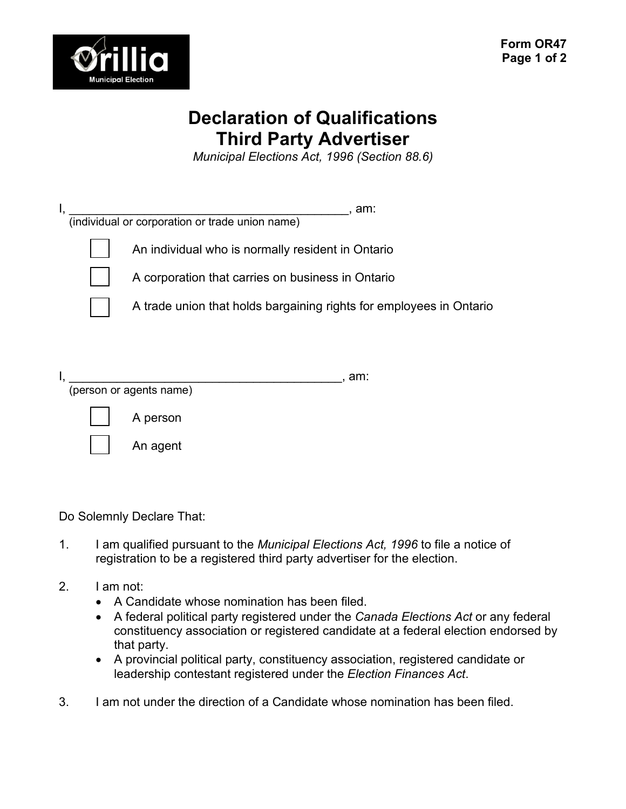

## **Declaration of Qualifications Third Party Advertiser**

*Municipal Elections Act, 1996 (Section 88.6)*

| Ι, | . am:<br>(individual or corporation or trade union name)                                               |
|----|--------------------------------------------------------------------------------------------------------|
|    | An individual who is normally resident in Ontario<br>A corporation that carries on business in Ontario |
|    | A trade union that holds bargaining rights for employees in Ontario                                    |
|    | am:<br>(person or agents name)                                                                         |
|    | A person                                                                                               |
|    | An agent                                                                                               |

Do Solemnly Declare That:

1. I am qualified pursuant to the *Municipal Elections Act, 1996* to file a notice of registration to be a registered third party advertiser for the election.

## 2. I am not:

- A Candidate whose nomination has been filed.
- A federal political party registered under the *Canada Elections Act* or any federal constituency association or registered candidate at a federal election endorsed by that party.
- A provincial political party, constituency association, registered candidate or leadership contestant registered under the *Election Finances Act*.
- 3. I am not under the direction of a Candidate whose nomination has been filed.